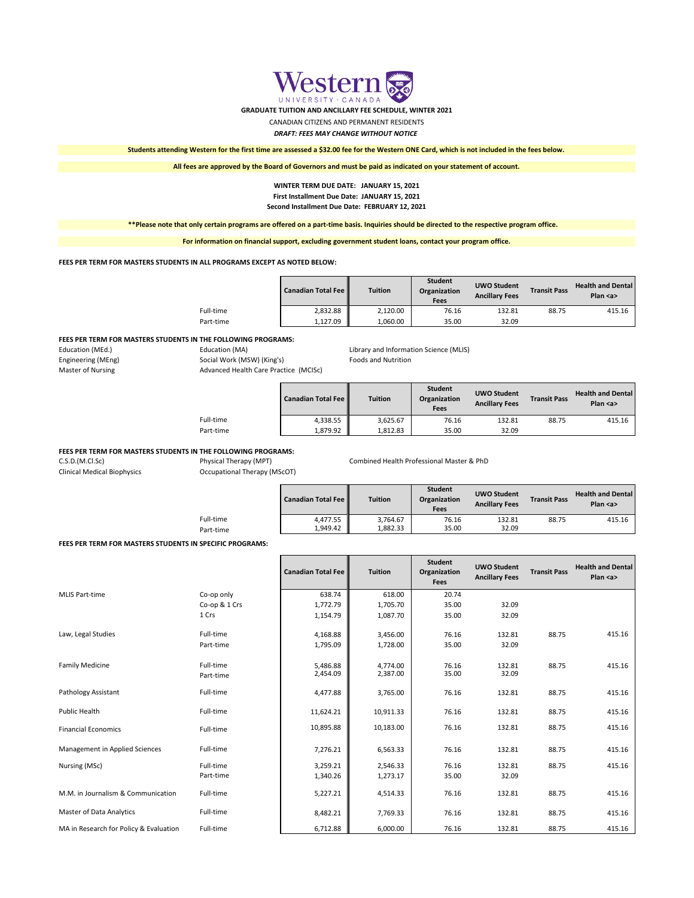### **FEES PER TERM FOR MASTERS STUDENTS IN THE FOLLOWING PROGRAMS:**

| Education (MEd.)   | Education (MA)                        | Library and Information Science (MLIS) |
|--------------------|---------------------------------------|----------------------------------------|
| Engineering (MEng) | Social Work (MSW) (King's)            | <b>Foods and Nutrition</b>             |
| Master of Nursing  | Advanced Health Care Practice (MCISc) |                                        |

### **FEES PER TERM FOR MASTERS STUDENTS IN THE FOLLOWING PROGRAMS:**

C.S.D.(M.Cl.Sc) Physical Therapy (MPT) Combined Health Professional Master & PhD

Clinical Medical Biophysics Occupational Therapy (MScOT)

### **FEES PER TERM FOR MASTERS STUDENTS IN SPECIFIC PROGRAMS:**

| Law, Legal Studies                     | Full-time<br>Part-time | 4,168.88<br>1,795.09 | 3,456.00<br>1,728.00 | 76.16<br>35.00 | 132.81<br>32.09 | 88.75 | 415.16 |
|----------------------------------------|------------------------|----------------------|----------------------|----------------|-----------------|-------|--------|
| <b>Family Medicine</b>                 | Full-time<br>Part-time | 5,486.88<br>2,454.09 | 4,774.00<br>2,387.00 | 76.16<br>35.00 | 132.81<br>32.09 | 88.75 | 415.16 |
| Pathology Assistant                    | Full-time              | 4,477.88             | 3,765.00             | 76.16          | 132.81          | 88.75 | 415.16 |
| Public Health                          | Full-time              | 11,624.21            | 10,911.33            | 76.16          | 132.81          | 88.75 | 415.16 |
| <b>Financial Economics</b>             | Full-time              | 10,895.88            | 10,183.00            | 76.16          | 132.81          | 88.75 | 415.16 |
| Management in Applied Sciences         | Full-time              | 7,276.21             | 6,563.33             | 76.16          | 132.81          | 88.75 | 415.16 |
| Nursing (MSc)                          | Full-time              | 3,259.21             | 2,546.33             | 76.16          | 132.81          | 88.75 | 415.16 |
|                                        | Part-time              | 1,340.26             | 1,273.17             | 35.00          | 32.09           |       |        |
| M.M. in Journalism & Communication     | Full-time              | 5,227.21             | 4,514.33             | 76.16          | 132.81          | 88.75 | 415.16 |
| <b>Master of Data Analytics</b>        | Full-time              | 8,482.21             | 7,769.33             | 76.16          | 132.81          | 88.75 | 415.16 |
| MA in Research for Policy & Evaluation | Full-time              | 6,712.88             | 6,000.00             | 76.16          | 132.81          | 88.75 | 415.16 |

|           | Canadian Total Fee | <b>Tuition</b> | <b>Student</b><br>Organization<br><b>Fees</b> | <b>UWO Student</b><br><b>Ancillary Fees</b> | <b>Transit Pass</b> | <b>Health and Dental</b><br>Plan $\langle$ a $\rangle$ |
|-----------|--------------------|----------------|-----------------------------------------------|---------------------------------------------|---------------------|--------------------------------------------------------|
| Full-time | 2,832.88           | 2,120.00       | 76.16                                         | 132.81                                      | 88.75               | 415.16                                                 |
| Part-time | 1,127.09           | 1,060.00       | 35.00                                         | 32.09                                       |                     |                                                        |

|           | <b>Canadian Total Fee   </b> | <b>Tuition</b> | <b>Student</b><br>Organization<br><b>Fees</b> | <b>UWO Student</b><br><b>Ancillary Fees</b> | <b>Transit Pass</b> | <b>Health and Dental</b><br>Plan <a></a> |
|-----------|------------------------------|----------------|-----------------------------------------------|---------------------------------------------|---------------------|------------------------------------------|
| Full-time | 4,338.55                     | 3,625.67       | 76.16                                         | 132.81                                      | 88.75               | 415.16                                   |
| Part-time | 1,879.92                     | 1,812.83       | 35.00                                         | 32.09                                       |                     |                                          |

|           | <b>Canadian Total Fee   </b> | <b>Tuition</b> | <b>Student</b><br>Organization<br><b>Fees</b> | <b>UWO Student</b><br><b>Ancillary Fees</b> | <b>Transit Pass</b> | <b>Health and Dental</b><br>Plan $\leq a$ |
|-----------|------------------------------|----------------|-----------------------------------------------|---------------------------------------------|---------------------|-------------------------------------------|
| Full-time | 4,477.55                     | 3,764.67       | 76.16                                         | 132.81                                      | 88.75               | 415.16                                    |
| Part-time | 1,949.42                     | L,882.33       | 35.00                                         | 32.09                                       |                     |                                           |

|                |               | <b>Canadian Total Fee</b> | <b>Tuition</b> | <b>Student</b><br>Organization<br><b>Fees</b> | <b>UWO Student</b><br><b>Ancillary Fees</b> | <b>Transit Pass</b> | <b>Health and Dental</b><br>Plan $\leq a$ |
|----------------|---------------|---------------------------|----------------|-----------------------------------------------|---------------------------------------------|---------------------|-------------------------------------------|
| MLIS Part-time | Co-op only    | 638.74                    | 618.00         | 20.74                                         |                                             |                     |                                           |
|                | Co-op & 1 Crs | 1,772.79                  | 1,705.70       | 35.00                                         | 32.09                                       |                     |                                           |
|                | 1 Crs         | 1,154.79                  | 1,087.70       | 35.00                                         | 32.09                                       |                     |                                           |

### *DRAFT: FEES MAY CHANGE WITHOUT NOTICE*

**Students attending Western for the first time are assessed a \$32.00 fee for the Western ONE Card, which is not included in the fees below.**

**All fees are approved by the Board of Governors and must be paid as indicated on your statement of account.**

**\*\*Please note that only certain programs are offered on a part-time basis. Inquiries should be directed to the respective program office.** 

**For information on financial support, excluding government student loans, contact your program office.**

**FEES PER TERM FOR MASTERS STUDENTS IN ALL PROGRAMS EXCEPT AS NOTED BELOW:**

# **WINTER TERM DUE DATE: JANUARY 15, 2021 First Installment Due Date: JANUARY 15, 2021 Second Installment Due Date: FEBRUARY 12, 2021**



**GRADUATE TUITION AND ANCILLARY FEE SCHEDULE, WINTER 2021**

## CANADIAN CITIZENS AND PERMANENT RESIDENTS